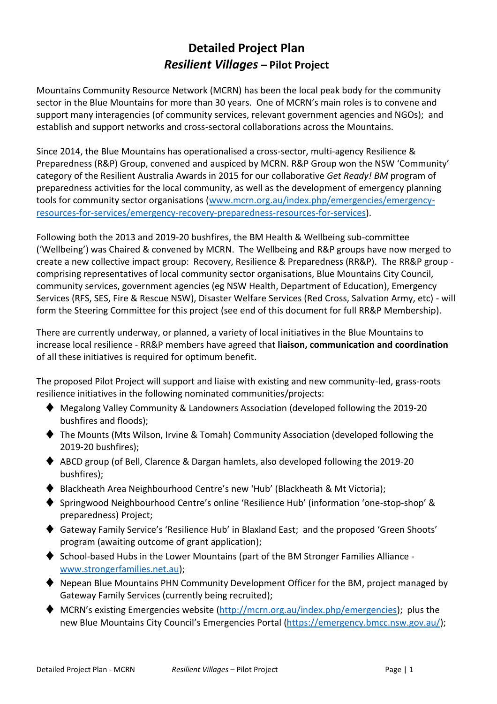# **Detailed Project Plan** *Resilient Villages* **– Pilot Project**

Mountains Community Resource Network (MCRN) has been the local peak body for the community sector in the Blue Mountains for more than 30 years. One of MCRN's main roles is to convene and support many interagencies (of community services, relevant government agencies and NGOs); and establish and support networks and cross-sectoral collaborations across the Mountains.

Since 2014, the Blue Mountains has operationalised a cross-sector, multi-agency Resilience & Preparedness (R&P) Group, convened and auspiced by MCRN. R&P Group won the NSW 'Community' category of the Resilient Australia Awards in 2015 for our collaborative *Get Ready! BM* program of preparedness activities for the local community, as well as the development of emergency planning tools for community sector organisations [\(www.mcrn.org.au/index.php/emergencies/emergency](http://www.mcrn.org.au/index.php/emergencies/emergency-resources-for-services/emergency-recovery-preparedness-resources-for-services)[resources-for-services/emergency-recovery-preparedness-resources-for-services\)](http://www.mcrn.org.au/index.php/emergencies/emergency-resources-for-services/emergency-recovery-preparedness-resources-for-services).

Following both the 2013 and 2019-20 bushfires, the BM Health & Wellbeing sub-committee ('Wellbeing') was Chaired & convened by MCRN. The Wellbeing and R&P groups have now merged to create a new collective impact group: Recovery, Resilience & Preparedness (RR&P). The RR&P group comprising representatives of local community sector organisations, Blue Mountains City Council, community services, government agencies (eg NSW Health, Department of Education), Emergency Services (RFS, SES, Fire & Rescue NSW), Disaster Welfare Services (Red Cross, Salvation Army, etc) - will form the Steering Committee for this project (see end of this document for full RR&P Membership).

There are currently underway, or planned, a variety of local initiatives in the Blue Mountains to increase local resilience - RR&P members have agreed that **liaison, communication and coordination** of all these initiatives is required for optimum benefit.

The proposed Pilot Project will support and liaise with existing and new community-led, grass-roots resilience initiatives in the following nominated communities/projects:

- ♦ Megalong Valley Community & Landowners Association (developed following the 2019-20 bushfires and floods);
- ♦ The Mounts (Mts Wilson, Irvine & Tomah) Community Association (developed following the 2019-20 bushfires);
- ♦ ABCD group (of Bell, Clarence & Dargan hamlets, also developed following the 2019-20 bushfires);
- ♦ Blackheath Area Neighbourhood Centre's new 'Hub' (Blackheath & Mt Victoria);
- ♦ Springwood Neighbourhood Centre's online 'Resilience Hub' (information 'one-stop-shop' & preparedness) Project;
- ♦ Gateway Family Service's 'Resilience Hub' in Blaxland East; and the proposed 'Green Shoots' program (awaiting outcome of grant application);
- $\blacklozenge$  School-based Hubs in the Lower Mountains (part of the BM Stronger Families Alliance [www.strongerfamilies.net.au\)](http://www.strongerfamilies.net.au/);
- ♦ Nepean Blue Mountains PHN Community Development Officer for the BM, project managed by Gateway Family Services (currently being recruited);
- $\blacklozenge$  MCRN's existing Emergencies website [\(http://mcrn.org.au/index.php/emergencies\)](http://mcrn.org.au/index.php/emergencies); plus the new Blue Mountains City Council's Emergencies Portal [\(https://emergency.bmcc.nsw.gov.au/\)](https://emergency.bmcc.nsw.gov.au/);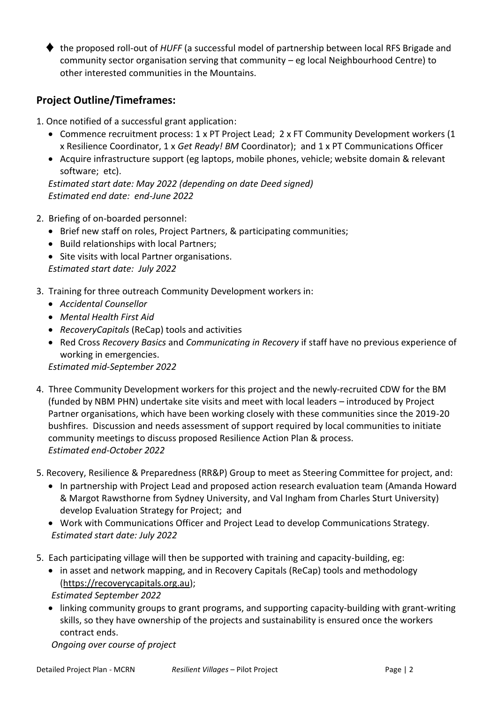♦ the proposed roll-out of *HUFF* (a successful model of partnership between local RFS Brigade and community sector organisation serving that community – eg local Neighbourhood Centre) to other interested communities in the Mountains.

## **Project Outline/Timeframes:**

- 1. Once notified of a successful grant application:
	- Commence recruitment process: 1 x PT Project Lead; 2 x FT Community Development workers (1 x Resilience Coordinator, 1 x *Get Ready! BM* Coordinator); and 1 x PT Communications Officer
	- Acquire infrastructure support (eg laptops, mobile phones, vehicle; website domain & relevant software; etc).

*Estimated start date: May 2022 (depending on date Deed signed) Estimated end date: end-June 2022*

- 2. Briefing of on-boarded personnel:
	- Brief new staff on roles, Project Partners, & participating communities;
	- Build relationships with local Partners;
	- Site visits with local Partner organisations. *Estimated start date: July 2022*
- 3. Training for three outreach Community Development workers in:
	- *Accidental Counsellor*
	- *Mental Health First Aid*
	- *RecoveryCapitals* (ReCap) tools and activities
	- Red Cross *Recovery Basics* and *Communicating in Recovery* if staff have no previous experience of working in emergencies.

*Estimated mid-September 2022* 

- 4. Three Community Development workers for this project and the newly-recruited CDW for the BM (funded by NBM PHN) undertake site visits and meet with local leaders – introduced by Project Partner organisations, which have been working closely with these communities since the 2019-20 bushfires. Discussion and needs assessment of support required by local communities to initiate community meetings to discuss proposed Resilience Action Plan & process. *Estimated end-October 2022*
- 5. Recovery, Resilience & Preparedness (RR&P) Group to meet as Steering Committee for project, and:
	- In partnership with Project Lead and proposed action research evaluation team (Amanda Howard & Margot Rawsthorne from Sydney University, and Val Ingham from Charles Sturt University) develop Evaluation Strategy for Project; and
	- Work with Communications Officer and Project Lead to develop Communications Strategy. *Estimated start date: July 2022*
- 5. Each participating village will then be supported with training and capacity-building, eg:
	- in asset and network mapping, and in Recovery Capitals (ReCap) tools and methodology [\(https://recoverycapitals.org.au\)](https://recoverycapitals.org.au/);

*Estimated September 2022* 

• linking community groups to grant programs, and supporting capacity-building with grant-writing skills, so they have ownership of the projects and sustainability is ensured once the workers contract ends.

*Ongoing over course of project*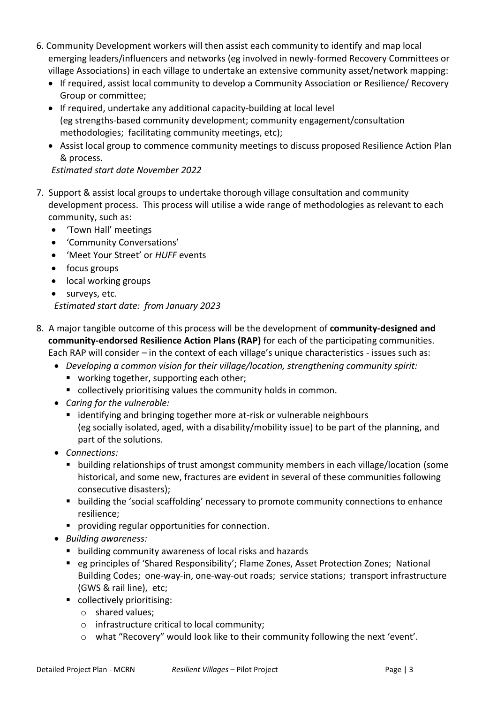- 6. Community Development workers will then assist each community to identify and map local emerging leaders/influencers and networks (eg involved in newly-formed Recovery Committees or village Associations) in each village to undertake an extensive community asset/network mapping:
	- If required, assist local community to develop a Community Association or Resilience/ Recovery Group or committee;
	- If required, undertake any additional capacity-building at local level (eg strengths-based community development; community engagement/consultation methodologies; facilitating community meetings, etc);
	- Assist local group to commence community meetings to discuss proposed Resilience Action Plan & process.

*Estimated start date November 2022* 

- 7. Support & assist local groups to undertake thorough village consultation and community development process. This process will utilise a wide range of methodologies as relevant to each community, such as:
	- 'Town Hall' meetings
	- 'Community Conversations'
	- 'Meet Your Street' or *HUFF* events
	- focus groups
	- local working groups
	- surveys, etc. *Estimated start date: from January 2023*
- 8. A major tangible outcome of this process will be the development of **community-designed and community-endorsed Resilience Action Plans (RAP)** for each of the participating communities. Each RAP will consider – in the context of each village's unique characteristics - issues such as:
	- *Developing a common vision for their village/location, strengthening community spirit:*
		- working together, supporting each other;
		- collectively prioritising values the community holds in common.
	- *Caring for the vulnerable:*
		- identifying and bringing together more at-risk or vulnerable neighbours (eg socially isolated, aged, with a disability/mobility issue) to be part of the planning, and part of the solutions.
	- *Connections:*
		- building relationships of trust amongst community members in each village/location (some historical, and some new, fractures are evident in several of these communities following consecutive disasters);
		- building the 'social scaffolding' necessary to promote community connections to enhance resilience;
		- **•** providing regular opportunities for connection.
	- *Building awareness:*
		- building community awareness of local risks and hazards
		- eg principles of 'Shared Responsibility'; Flame Zones, Asset Protection Zones; National Building Codes; one-way-in, one-way-out roads; service stations; transport infrastructure (GWS & rail line), etc;
		- collectively prioritising:
			- o shared values;
			- o infrastructure critical to local community;
			- o what "Recovery" would look like to their community following the next 'event'.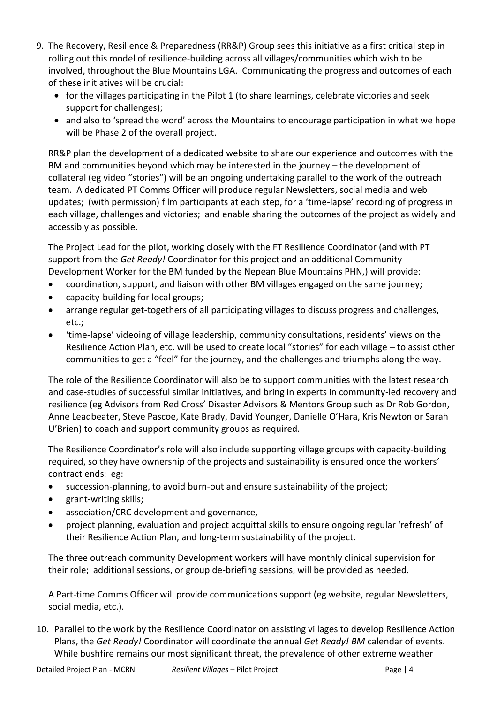- 9. The Recovery, Resilience & Preparedness (RR&P) Group sees this initiative as a first critical step in rolling out this model of resilience-building across all villages/communities which wish to be involved, throughout the Blue Mountains LGA. Communicating the progress and outcomes of each of these initiatives will be crucial:
	- for the villages participating in the Pilot 1 (to share learnings, celebrate victories and seek support for challenges);
	- and also to 'spread the word' across the Mountains to encourage participation in what we hope will be Phase 2 of the overall project.

RR&P plan the development of a dedicated website to share our experience and outcomes with the BM and communities beyond which may be interested in the journey – the development of collateral (eg video "stories") will be an ongoing undertaking parallel to the work of the outreach team. A dedicated PT Comms Officer will produce regular Newsletters, social media and web updates; (with permission) film participants at each step, for a 'time-lapse' recording of progress in each village, challenges and victories; and enable sharing the outcomes of the project as widely and accessibly as possible.

The Project Lead for the pilot, working closely with the FT Resilience Coordinator (and with PT support from the *Get Ready!* Coordinator for this project and an additional Community Development Worker for the BM funded by the Nepean Blue Mountains PHN,) will provide:

- coordination, support, and liaison with other BM villages engaged on the same journey;
- capacity-building for local groups;
- arrange regular get-togethers of all participating villages to discuss progress and challenges, etc.;
- 'time-lapse' videoing of village leadership, community consultations, residents' views on the Resilience Action Plan, etc. will be used to create local "stories" for each village – to assist other communities to get a "feel" for the journey, and the challenges and triumphs along the way.

The role of the Resilience Coordinator will also be to support communities with the latest research and case-studies of successful similar initiatives, and bring in experts in community-led recovery and resilience (eg Advisors from Red Cross' Disaster Advisors & Mentors Group such as Dr Rob Gordon, Anne Leadbeater, Steve Pascoe, Kate Brady, David Younger, Danielle O'Hara, Kris Newton or Sarah U'Brien) to coach and support community groups as required.

The Resilience Coordinator's role will also include supporting village groups with capacity-building required, so they have ownership of the projects and sustainability is ensured once the workers' contract ends; eg:

- succession-planning, to avoid burn-out and ensure sustainability of the project;
- grant-writing skills;
- association/CRC development and governance,
- project planning, evaluation and project acquittal skills to ensure ongoing regular 'refresh' of their Resilience Action Plan, and long-term sustainability of the project.

The three outreach community Development workers will have monthly clinical supervision for their role; additional sessions, or group de-briefing sessions, will be provided as needed.

A Part-time Comms Officer will provide communications support (eg website, regular Newsletters, social media, etc.).

10. Parallel to the work by the Resilience Coordinator on assisting villages to develop Resilience Action Plans, the *Get Ready!* Coordinator will coordinate the annual *Get Ready! BM* calendar of events. While bushfire remains our most significant threat, the prevalence of other extreme weather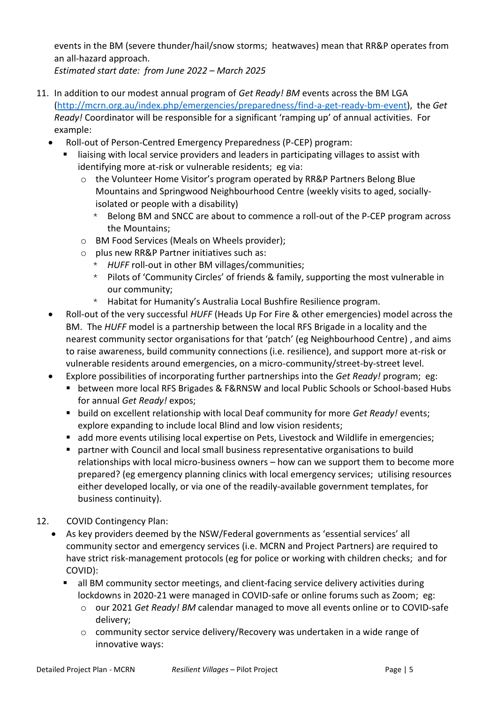events in the BM (severe thunder/hail/snow storms; heatwaves) mean that RR&P operates from an all-hazard approach.

*Estimated start date: from June 2022 – March 2025*

- 11. In addition to our modest annual program of *Get Ready! BM* events across the BM LGA [\(http://mcrn.org.au/index.php/emergencies/preparedness/find-a-get-ready-bm-event\)](http://mcrn.org.au/index.php/emergencies/preparedness/find-a-get-ready-bm-event), the *Get Ready!* Coordinator will be responsible for a significant 'ramping up' of annual activities. For example:
	- Roll-out of Person-Centred Emergency Preparedness (P-CEP) program:
		- liaising with local service providers and leaders in participating villages to assist with identifying more at-risk or vulnerable residents; eg via:
			- o the Volunteer Home Visitor's program operated by RR&P Partners Belong Blue Mountains and Springwood Neighbourhood Centre (weekly visits to aged, sociallyisolated or people with a disability)
				- \* Belong BM and SNCC are about to commence a roll-out of the P-CEP program across the Mountains;
			- o BM Food Services (Meals on Wheels provider);
			- o plus new RR&P Partner initiatives such as:
				- \* *HUFF* roll-out in other BM villages/communities;
				- \* Pilots of 'Community Circles' of friends & family, supporting the most vulnerable in our community;
				- \* Habitat for Humanity's Australia Local Bushfire Resilience program.
	- Roll-out of the very successful *HUFF* (Heads Up For Fire & other emergencies) model across the BM. The *HUFF* model is a partnership between the local RFS Brigade in a locality and the nearest community sector organisations for that 'patch' (eg Neighbourhood Centre) , and aims to raise awareness, build community connections (i.e. resilience), and support more at-risk or vulnerable residents around emergencies, on a micro-community/street-by-street level.
	- Explore possibilities of incorporating further partnerships into the *Get Ready!* program; eg:
		- between more local RFS Brigades & F&RNSW and local Public Schools or School-based Hubs for annual *Get Ready!* expos;
		- build on excellent relationship with local Deaf community for more *Get Ready!* events; explore expanding to include local Blind and low vision residents;
		- add more events utilising local expertise on Pets, Livestock and Wildlife in emergencies;
		- partner with Council and local small business representative organisations to build relationships with local micro-business owners – how can we support them to become more prepared? (eg emergency planning clinics with local emergency services; utilising resources either developed locally, or via one of the readily-available government templates, for business continuity).
- 12. COVID Contingency Plan:
	- As key providers deemed by the NSW/Federal governments as 'essential services' all community sector and emergency services (i.e. MCRN and Project Partners) are required to have strict risk-management protocols (eg for police or working with children checks; and for COVID):
		- all BM community sector meetings, and client-facing service delivery activities during lockdowns in 2020-21 were managed in COVID-safe or online forums such as Zoom; eg:
			- o our 2021 *Get Ready! BM* calendar managed to move all events online or to COVID-safe delivery;
			- $\circ$  community sector service delivery/Recovery was undertaken in a wide range of innovative ways: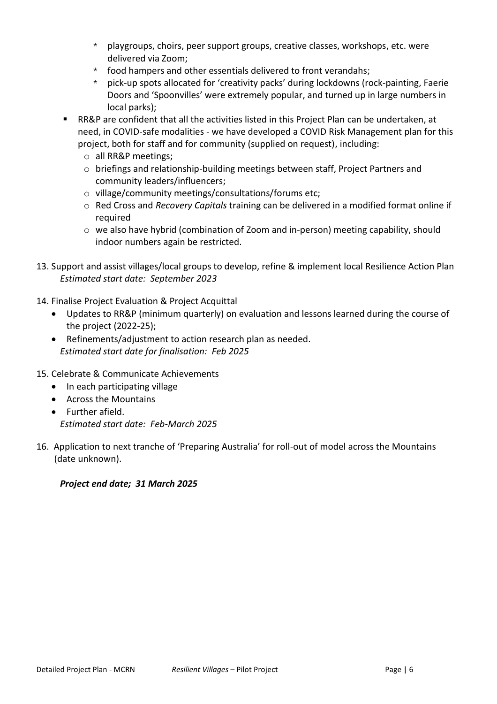- \* playgroups, choirs, peer support groups, creative classes, workshops, etc. were delivered via Zoom;
- $*$  food hampers and other essentials delivered to front verandahs;
- \* pick-up spots allocated for 'creativity packs' during lockdowns (rock-painting, Faerie Doors and 'Spoonvilles' were extremely popular, and turned up in large numbers in local parks);
- RR&P are confident that all the activities listed in this Project Plan can be undertaken, at need, in COVID-safe modalities - we have developed a COVID Risk Management plan for this project, both for staff and for community (supplied on request), including:
	- o all RR&P meetings;
	- o briefings and relationship-building meetings between staff, Project Partners and community leaders/influencers;
	- o village/community meetings/consultations/forums etc;
	- o Red Cross and *Recovery Capitals* training can be delivered in a modified format online if required
	- o we also have hybrid (combination of Zoom and in-person) meeting capability, should indoor numbers again be restricted.
- 13. Support and assist villages/local groups to develop, refine & implement local Resilience Action Plan *Estimated start date: September 2023*
- 14. Finalise Project Evaluation & Project Acquittal
	- Updates to RR&P (minimum quarterly) on evaluation and lessons learned during the course of the project (2022-25);
	- Refinements/adjustment to action research plan as needed. *Estimated start date for finalisation: Feb 2025*
- 15. Celebrate & Communicate Achievements
	- In each participating village
	- Across the Mountains
	- Further afield. *Estimated start date: Feb-March 2025*
- 16. Application to next tranche of 'Preparing Australia' for roll-out of model across the Mountains (date unknown).

#### *Project end date; 31 March 2025*